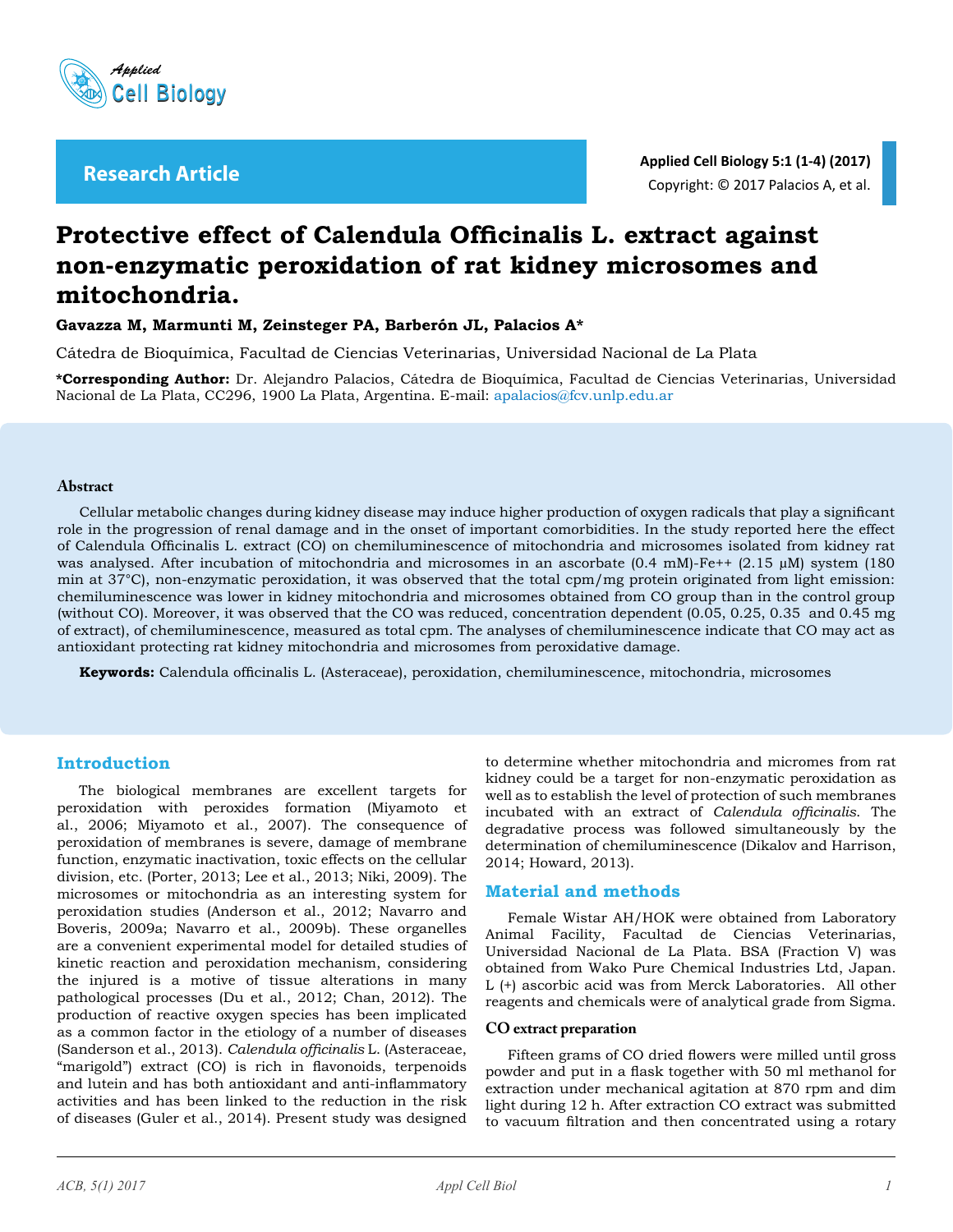

**Applied Cell Biology 5:1 (1-4) (2017)** Copyright: © 2017 Palacios A, et al. **Research Article**

# **Protective effect of Calendula Officinalis L. extract against non-enzymatic peroxidation of rat kidney microsomes and mitochondria.**

**Gavazza M, Marmunti M, Zeinsteger PA, Barberón JL, Palacios A\***

Cátedra de Bioquímica, Facultad de Ciencias Veterinarias, Universidad Nacional de La Plata

**\*Corresponding Author:** Dr. Alejandro Palacios, Cátedra de Bioquímica, Facultad de Ciencias Veterinarias, Universidad Nacional de La Plata, CC296, 1900 La Plata, Argentina. E-mail: apalacios@fcv.unlp.edu.ar

#### **Abstract**

Cellular metabolic changes during kidney disease may induce higher production of oxygen radicals that play a significant role in the progression of renal damage and in the onset of important comorbidities. In the study reported here the effect of Calendula Officinalis L. extract (CO) on chemiluminescence of mitochondria and microsomes isolated from kidney rat was analysed. After incubation of mitochondria and microsomes in an ascorbate (0.4 mM)-Fe++ (2.15 µM) system (180 min at 37°C), non-enzymatic peroxidation, it was observed that the total cpm/mg protein originated from light emission: chemiluminescence was lower in kidney mitochondria and microsomes obtained from CO group than in the control group (without CO). Moreover, it was observed that the CO was reduced, concentration dependent (0.05, 0.25, 0.35 and 0.45 mg of extract), of chemiluminescence, measured as total cpm. The analyses of chemiluminescence indicate that CO may act as antioxidant protecting rat kidney mitochondria and microsomes from peroxidative damage.

**Keywords:** Calendula officinalis L. (Asteraceae), peroxidation, chemiluminescence, mitochondria, microsomes

# **Introduction**

The biological membranes are excellent targets for peroxidation with peroxides formation ([Miyamoto](https://scholar.google.com.ar/citations?user=kGaaePAAAAAJ&hl=es&oi=sra) et al., 2006; [Miyamoto](https://scholar.google.com.ar/citations?user=kGaaePAAAAAJ&hl=es&oi=sra) et al., 2007). The consequence of peroxidation of membranes is severe, damage of membrane function, enzymatic inactivation, toxic effects on the cellular division, etc. (Porter, 2013; Lee et al., 2013; [Niki,](http://www.sciencedirect.com/science/article/pii/S089158490900330X) 2009). The microsomes or mitochondria as an interesting system for peroxidation studies (Anderson et al., 2012; Navarro and Boveris, 2009a; Navarro et al., 2009b). These organelles are a convenient experimental model for detailed studies of kinetic reaction and peroxidation mechanism, considering the injured is a motive of tissue alterations in many pathological processes (Du et al., 2012; Chan, 2012). The production of reactive oxygen species has been implicated as a common factor in the etiology of a number of diseases (Sanderson et al., 2013). *Calendula officinalis* L. (Asteraceae, "marigold") extract (CO) is rich in flavonoids, terpenoids and lutein and has both antioxidant and anti-inflammatory activities and has been linked to the reduction in the risk of diseases (Guler et al., 2014). Present study was designed

to determine whether mitochondria and micromes from rat kidney could be a target for non-enzymatic peroxidation as well as to establish the level of protection of such membranes incubated with an extract of *Calendula officinalis*. The degradative process was followed simultaneously by the determination of chemiluminescence (Dikalov and Harrison, 2014; [Howard](http://www.sciencedirect.com/science/article/pii/S0304394013005181), 2013).

# **Material and methods**

Female Wistar AH/HOK were obtained from Laboratory Animal Facility, Facultad de Ciencias Veterinarias, Universidad Nacional de La Plata. BSA (Fraction V) was obtained from Wako Pure Chemical Industries Ltd, Japan. L (+) ascorbic acid was from Merck Laboratories. All other reagents and chemicals were of analytical grade from Sigma.

#### **CO extract preparation**

Fifteen grams of CO dried flowers were milled until gross powder and put in a flask together with 50 ml methanol for extraction under mechanical agitation at 870 rpm and dim light during 12 h. After extraction CO extract was submitted to vacuum filtration and then concentrated using a rotary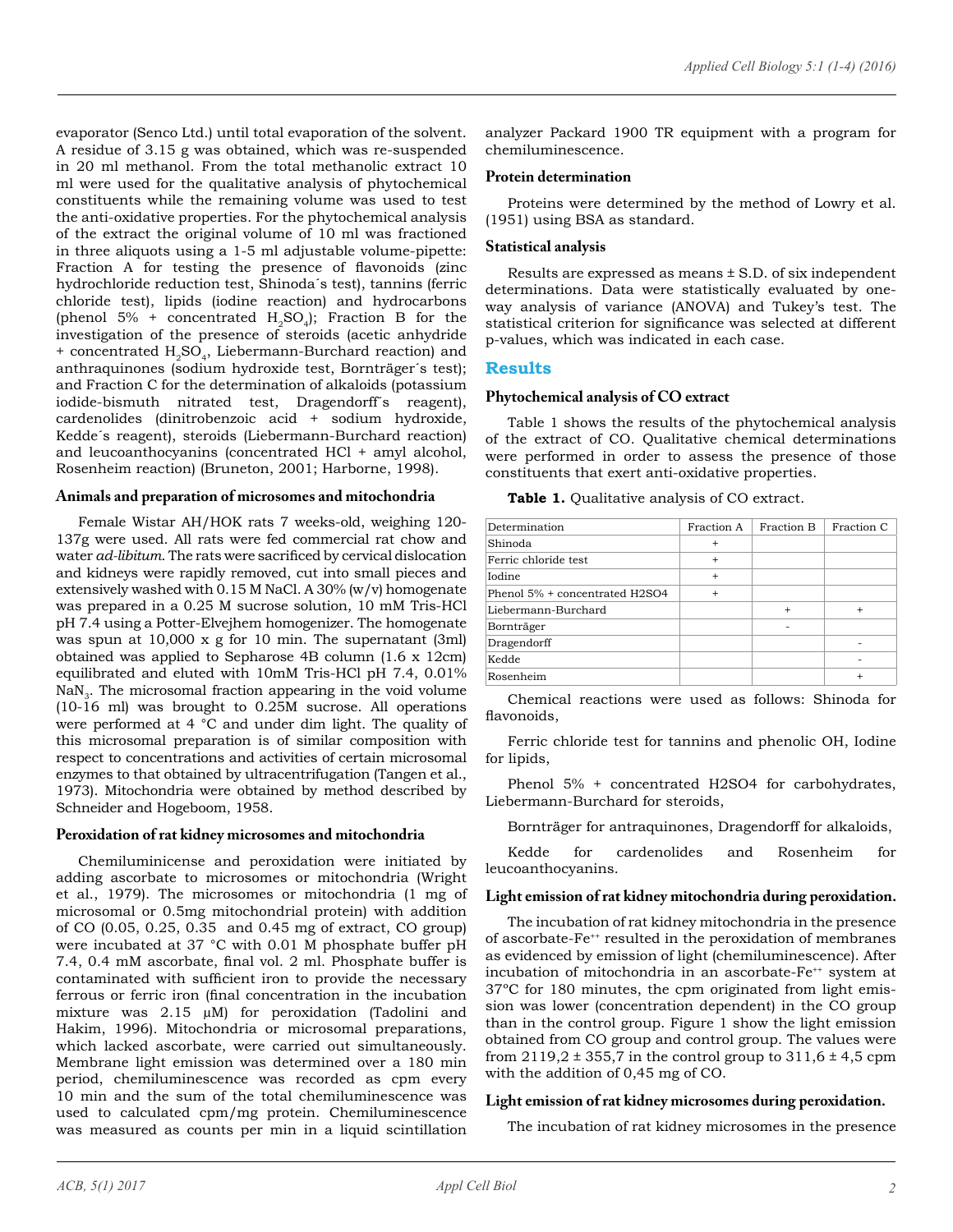evaporator (Senco Ltd.) until total evaporation of the solvent. A residue of 3.15 g was obtained, which was re-suspended in 20 ml methanol. From the total methanolic extract 10 ml were used for the qualitative analysis of phytochemical constituents while the remaining volume was used to test the anti-oxidative properties. For the phytochemical analysis of the extract the original volume of 10 ml was fractioned in three aliquots using a 1-5 ml adjustable volume-pipette: Fraction A for testing the presence of flavonoids (zinc hydrochloride reduction test, Shinoda´s test), tannins (ferric chloride test), lipids (iodine reaction) and hydrocarbons (phenol 5% + concentrated  $H_2SO_4$ ); Fraction B for the investigation of the presence of steroids (acetic anhydride + concentrated H<sub>2</sub>SO<sub>4</sub>, Liebermann-Burchard reaction) and anthraquinones (sodium hydroxide test, Bornträger´s test); and Fraction C for the determination of alkaloids (potassium iodide-bismuth nitrated test, Dragendorff´s reagent), cardenolides (dinitrobenzoic acid + sodium hydroxide, Kedde´s reagent), steroids (Liebermann-Burchard reaction) and leucoanthocyanins (concentrated HCl + amyl alcohol, Rosenheim reaction) (Bruneton, 2001; Harborne, 1998).

# **Animals and preparation of microsomes and mitochondria**

Female Wistar AH/HOK rats 7 weeks-old, weighing 120- 137g were used. All rats were fed commercial rat chow and water *ad-libitum*. The rats were sacrificed by cervical dislocation and kidneys were rapidly removed, cut into small pieces and extensively washed with 0.15 M NaCl. A 30% (w/v) homogenate was prepared in a 0.25 M sucrose solution, 10 mM Tris-HCl pH 7.4 using a Potter-Elvejhem homogenizer. The homogenate was spun at 10,000 x g for 10 min. The supernatant (3ml) obtained was applied to Sepharose 4B column (1.6 x 12cm) equilibrated and eluted with 10mM Tris-HCl pH 7.4, 0.01%  $NaN<sub>3</sub>$ . The microsomal fraction appearing in the void volume (10-16 ml) was brought to 0.25M sucrose. All operations were performed at 4 °C and under dim light. The quality of this microsomal preparation is of similar composition with respect to concentrations and activities of certain microsomal enzymes to that obtained by ultracentrifugation (Tangen et al., 1973). Mitochondria were obtained by method described by Schneider and Hogeboom, 1958.

#### **Peroxidation of rat kidney microsomes and mitochondria**

Chemiluminicense and peroxidation were initiated by adding ascorbate to microsomes or mitochondria [\(Wright](http://www.sciencedirect.com/science/article/pii/0003986179901024)  et al., 1979). The microsomes or mitochondria (1 mg of microsomal or 0.5mg mitochondrial protein) with addition of CO (0.05, 0.25, 0.35 and 0.45 mg of extract, CO group) were incubated at 37 °C with 0.01 M phosphate buffer pH 7.4, 0.4 mM ascorbate, final vol. 2 ml. Phosphate buffer is contaminated with sufficient iron to provide the necessary ferrous or ferric iron (final concentration in the incubation mixture was 2.15 µM) for peroxidation ([Tadolini](http://informahealthcare.com/action/doSearch?Contrib=Tadolini%2C+B) and [Hakim](http://informahealthcare.com/action/doSearch?Contrib=Hakim%2C+G), 1996). Mitochondria or microsomal preparations, which lacked ascorbate, were carried out simultaneously. Membrane light emission was determined over a 180 min period, chemiluminescence was recorded as cpm every 10 min and the sum of the total chemiluminescence was used to calculated cpm/mg protein. Chemiluminescence was measured as counts per min in a liquid scintillation

analyzer Packard 1900 TR equipment with a program for chemiluminescence.

#### **Protein determination**

Proteins were determined by the method of Lowry et al. (1951) using BSA as standard.

#### **Statistical analysis**

Results are expressed as means ± S.D. of six independent determinations. Data were statistically evaluated by oneway analysis of variance (ANOVA) and Tukey's test. The statistical criterion for significance was selected at different p-values, which was indicated in each case.

### **Results**

#### **Phytochemical analysis of CO extract**

Table 1 shows the results of the phytochemical analysis of the extract of CO. Qualitative chemical determinations were performed in order to assess the presence of those constituents that exert anti-oxidative properties.

|  | Table 1. Qualitative analysis of CO extract. |  |  |
|--|----------------------------------------------|--|--|
|  |                                              |  |  |

| Determination                  | Fraction A | Fraction B | Fraction C |
|--------------------------------|------------|------------|------------|
| Shinoda                        | $+$        |            |            |
| Ferric chloride test           | $+$        |            |            |
| <b>Iodine</b>                  | $+$        |            |            |
| Phenol 5% + concentrated H2SO4 | $\ddot{}$  |            |            |
| Liebermann-Burchard            |            | $\ddot{}$  | $\ddot{}$  |
| Bornträger                     |            |            |            |
| Dragendorff                    |            |            |            |
| Kedde                          |            |            |            |
| Rosenheim                      |            |            | $\ddot{}$  |

Chemical reactions were used as follows: Shinoda for flavonoids,

Ferric chloride test for tannins and phenolic OH, Iodine for lipids,

Phenol 5% + concentrated H2SO4 for carbohydrates, Liebermann-Burchard for steroids,

Bornträger for antraquinones, Dragendorff for alkaloids,

Kedde for cardenolides and Rosenheim for leucoanthocyanins.

### **Light emission of rat kidney mitochondria during peroxidation.**

The incubation of rat kidney mitochondria in the presence of ascorbate-Fe<sup>++</sup> resulted in the peroxidation of membranes as evidenced by emission of light (chemiluminescence). After incubation of mitochondria in an ascorbate-Fe<sup>++</sup> system at 37ºC for 180 minutes, the cpm originated from light emission was lower (concentration dependent) in the CO group than in the control group. Figure 1 show the light emission obtained from CO group and control group. The values were from  $2119.2 \pm 355.7$  in the control group to  $311.6 \pm 4.5$  cpm with the addition of 0,45 mg of CO.

# **Light emission of rat kidney microsomes during peroxidation.**

The incubation of rat kidney microsomes in the presence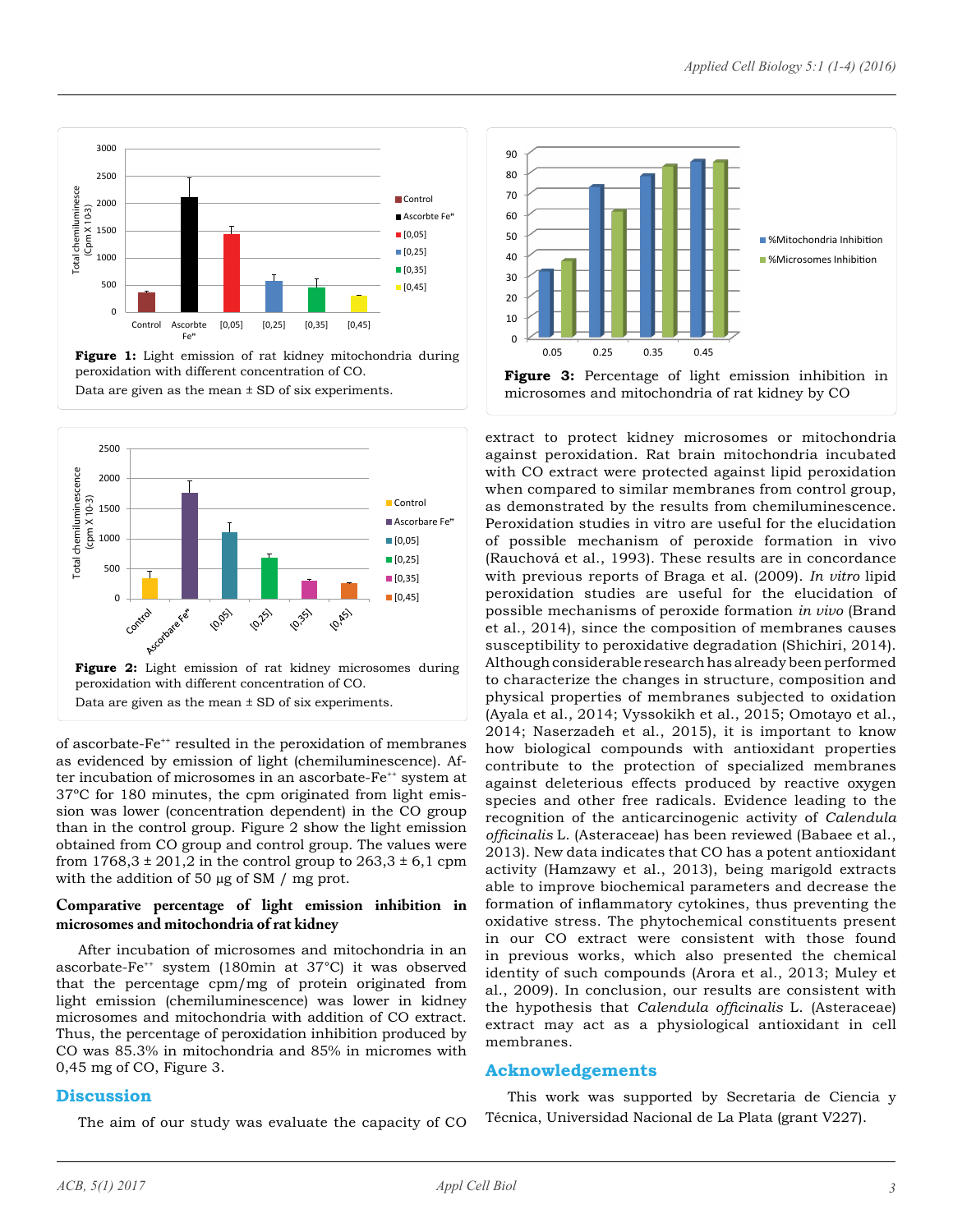

**Figure 1:** Light emission of rat kidney mitochondria during peroxidation with different concentration of CO. Data are given as the mean  $\pm$  SD of six experiments.



of ascorbate-Fe<sup>++</sup> resulted in the peroxidation of membranes as evidenced by emission of light (chemiluminescence). After incubation of microsomes in an ascorbate-Fe<sup>++</sup> system at 37ºC for 180 minutes, the cpm originated from light emission was lower (concentration dependent) in the CO group than in the control group. Figure 2 show the light emission obtained from CO group and control group. The values were from  $1768,3 \pm 201,2$  in the control group to  $263,3 \pm 6,1$  cpm with the addition of 50 µg of SM / mg prot.

# **Comparative percentage of light emission inhibition in microsomes and mitochondria of rat kidney**

After incubation of microsomes and mitochondria in an ascorbate-Fe++ system (180min at 37°C) it was observed that the percentage cpm/mg of protein originated from light emission (chemiluminescence) was lower in kidney microsomes and mitochondria with addition of CO extract. Thus, the percentage of peroxidation inhibition produced by CO was 85.3% in mitochondria and 85% in micromes with 0,45 mg of CO, Figure 3.

# **Discussion**

The aim of our study was evaluate the capacity of CO



extract to protect kidney microsomes or mitochondria against peroxidation. Rat brain mitochondria incubated with CO extract were protected against lipid peroxidation when compared to similar membranes from control group, as demonstrated by the results from chemiluminescence. Peroxidation studies in vitro are useful for the elucidation of possible mechanism of peroxide formation in vivo ([Rauchová](http://www.ncbi.nlm.nih.gov/pubmed/?term=Rauchov%C3%A1 H%5BAuthor%5D&cauthor=true&cauthor_uid=8130178) et al., 1993). These results are in concordance with previous reports of Braga et al. (2009). *In vitro* lipid peroxidation studies are useful for the elucidation of possible mechanisms of peroxide formation *in vivo* ([Brand](http://www.ncbi.nlm.nih.gov/pubmed/?term=Brand MD%5BAuthor%5D&cauthor=true&cauthor_uid=15304252)  et al., 2014), since the composition of membranes causes susceptibility to peroxidative degradation (Shichiri, 2014). Although considerable research has already been performed to characterize the changes in structure, composition and physical properties of membranes subjected to oxidation ([Ayala](http://www.hindawi.com/73827153/) et al., 2014; Vyssokikh et al., 2015; Omotayo et al., 2014; Naserzadeh et al., 2015), it is important to know how biological compounds with antioxidant properties contribute to the protection of specialized membranes against deleterious effects produced by reactive oxygen species and other free radicals. Evidence leading to the recognition of the anticarcinogenic activity of *Calendula officinalis* L. (Asteraceae) has been reviewed (Babaee et al., 2013). New data indicates that CO has a potent antioxidant activity (Hamzawy et al., 2013), being marigold extracts able to improve biochemical parameters and decrease the formation of inflammatory cytokines, thus preventing the oxidative stress. The phytochemical constituents present in our CO extract were consistent with those found in previous works, which also presented the chemical identity of such compounds (Arora et al., 2013; Muley et al., 2009). In conclusion, our results are consistent with the hypothesis that *Calendula officinalis* L. (Asteraceae) extract may act as a physiological antioxidant in cell membranes.

# **Acknowledgements**

This work was supported by Secretaria de Ciencia y Técnica, Universidad Nacional de La Plata (grant V227).